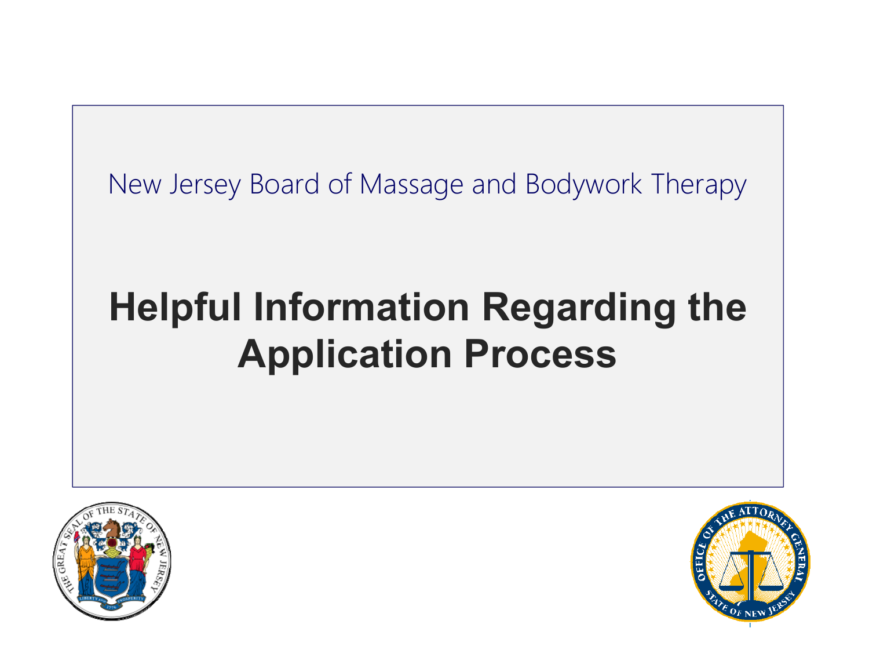New Jersey Board of Massage and Bodywork Therapy

# **Helpful Information Regarding the Application Process**



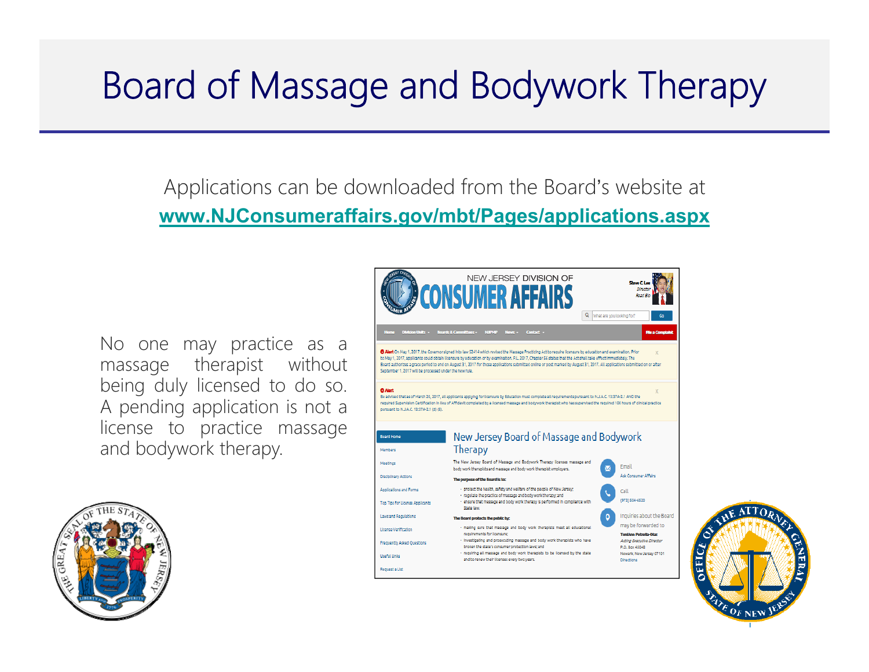### Board of Massage and Bodywork Therapy

Applications can be downloaded from the Board's website at **www.NJConsumeraffairs.gov/mbt/Pages/applications.aspx**

No one may practice as <sup>a</sup> massage therapist without being duly licensed to do so. A pending application is not <sup>a</sup> license to practice massage and bodywork therapy.





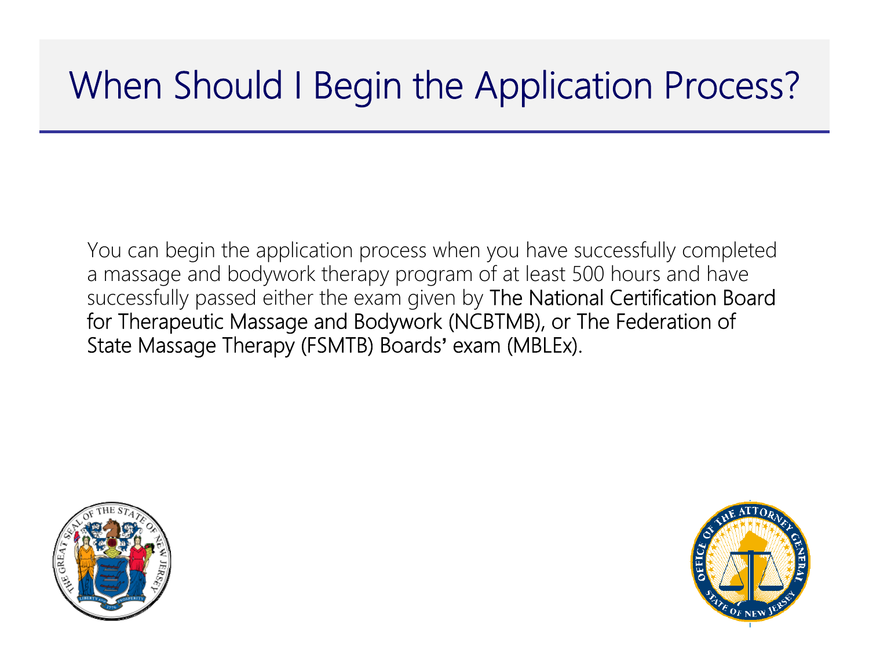## When Should I Begin the Application Process?

You can begin the application process when you have successfully completed a massage and bodywork therapy program of at least 500 hours and have successfully passed either the exam given by The National Certification Board for Therapeutic Massage and Bodywork (NCBTMB), or The Federation of State Massage Therapy (FSMTB) Boards**'** exam (MBLEx).



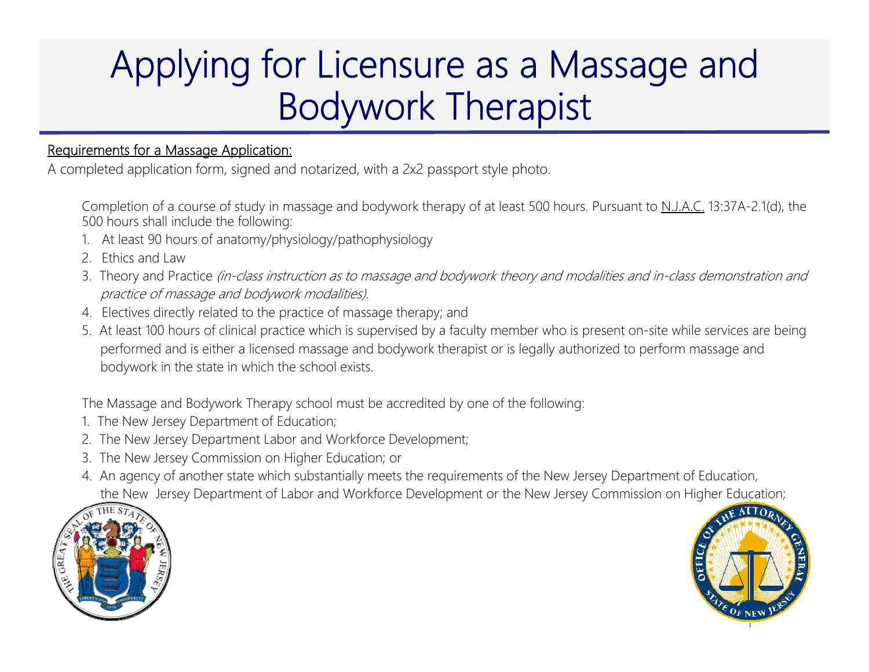### Applying for Licensure as a Massage and Bodywork Therapist

#### Requirements for a Massage Application:

A completed application form, signed and notarized, with a 2x2 passport style photo.

Completion of a course of study in massage and bodywork therapy of at least 500 hours. Pursuant to N.J.A.C. 13:37A-2.1(d), the 500 hours shall include the following:

- 1. At least 90 hours of anatomy/physiology/pathophysiology
- 2. Ethics and Law
- 3. Theory and Practice (in-class instruction as to massage and bodywork theory and modalities and in-class demonstration and practice of massage and bodywork modalities).
- 4. Electives directly related to the practice of massage therapy; and
- 5. At least 100 hours of clinical practice which is supervised by a faculty member who is present on-site while services are bein g performed and is either a licensed massage and bodywork therapist or is legally authorized to perform massage and bodywork in the state in which the school exists.

The Massage and Bodywork Therapy school must be accredited by one of the following:

- 1. The New Jersey Department of Education;
- 2. The New Jersey Department Labor and Workforce Development;
- 3. The New Jersey Commission on Higher Education; or
- 4. An agency of another state which substantially meets the requirements of the New Jersey Department of Education, the New Jersey Department of Labor and Workforce Development or the New Jersey Commission on Higher Education;



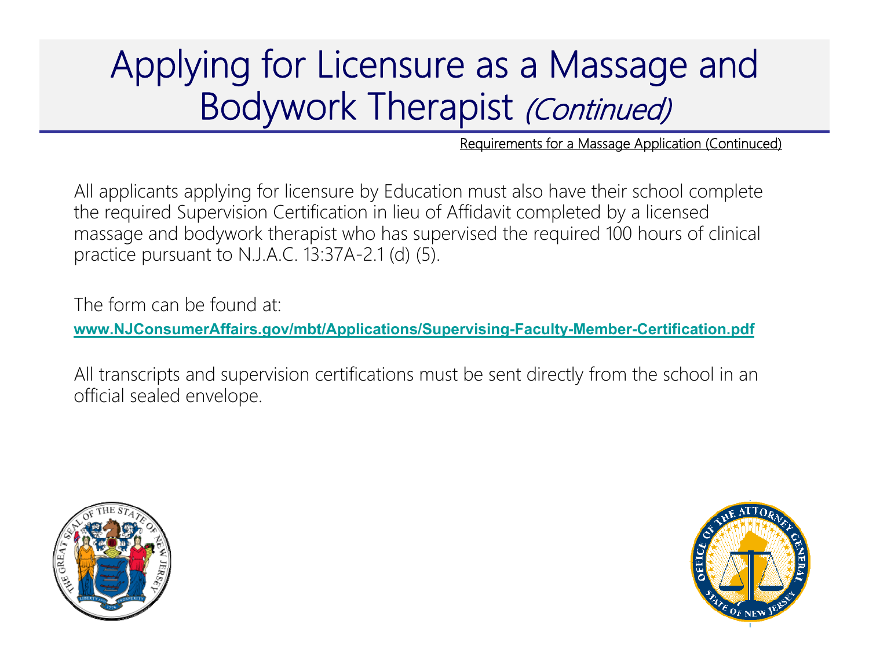### Applying for Licensure as a Massage and Bodywork Therapist (Continued)

Requirements for a Massage Application (Continuced)

All applicants applying for licensure by Education must also have their school complete the required Supervision Certification in lieu of Affidavit completed by a licensed massage and bodywork therapist who has supervised the required 100 hours of clinical practice pursuant to N.J.A.C. 13:37A-2.1 (d) (5).

The form can be found at:

**www.NJConsumerAffairs.gov/mbt/Applications/Supervising-Faculty-Member-Certification.pdf**

All transcripts and supervision certifications must be sent directly from the school in an official sealed envelope.



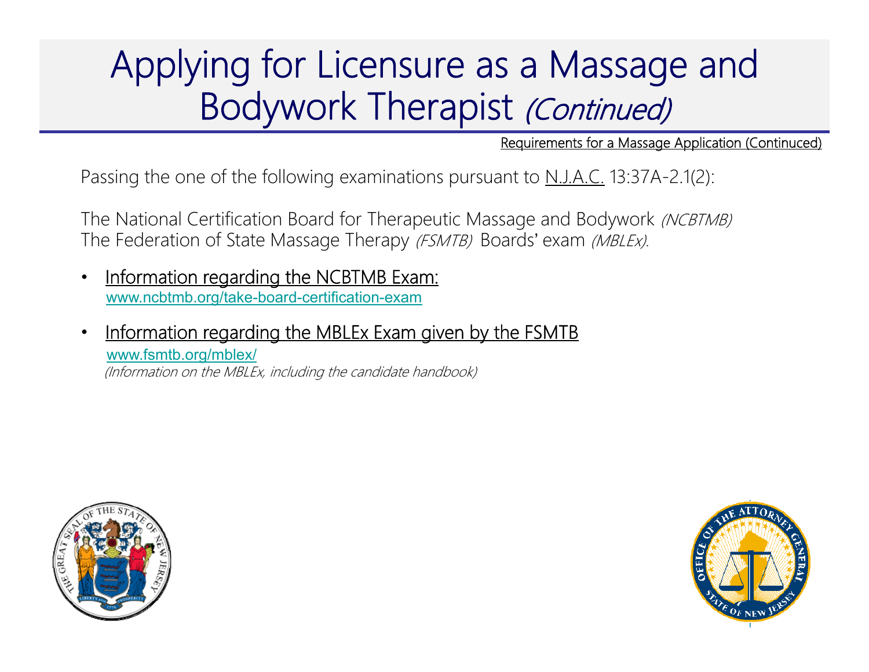### Applying for Licensure as a Massage and Bodywork Therapist (Continued)

Requirements for a Massage Application (Continuced)

Passing the one of the following examinations pursuant to N.J.A.C. 13:37A-2.1(2):

The National Certification Board for Therapeutic Massage and Bodywork *(NCBTMB)* The Federation of State Massage Therapy (FSMTB) Boards' exam (MBLEx).

- $\bullet$  Information regarding the NCBTMB Exam: www.ncbtmb.org/take-board-certification-exam
- • Information regarding the MBLEx Exam given by the FSMTB www.fsmtb.org/mblex/ (Information on the MBLEx, including the candidate handbook)



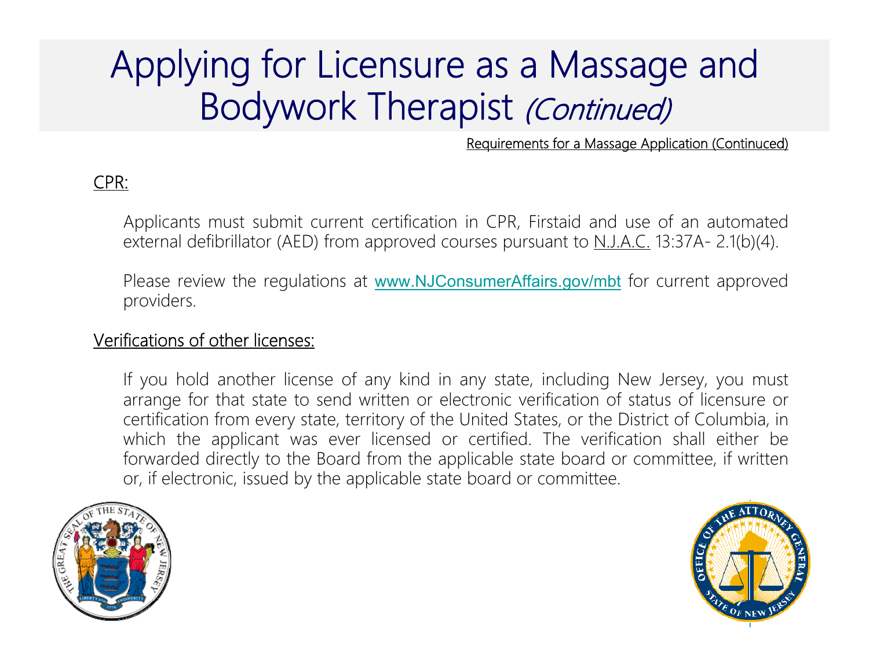### Applying for Licensure as a Massage and Bodywork Therapist (Continued)

Requirements for a Massage Application (Continuced)

#### CPR:

Applicants must submit current certification in CPR, Firstaid and use of an automated external defibrillator (AED) from approved courses pursuant to  $N_{1}$ . A.C. 13:37A- 2.1(b)(4).

Please review the regulations at www.NJConsumerAffairs.gov/mbt for current approved providers.

#### Verifications of other licenses:

If you hold another license of any kind in any state, including New Jersey, you must arrange for that state to send written or electronic verification of status of licensure or certification from every state, territory of the United States, or the District of Columbia, in which the applicant was ever licensed or certified. The verification shall either be forwarded directly to the Board from the applicable state board or committee, if written or, if electronic, issued by the applicable state board or committee.



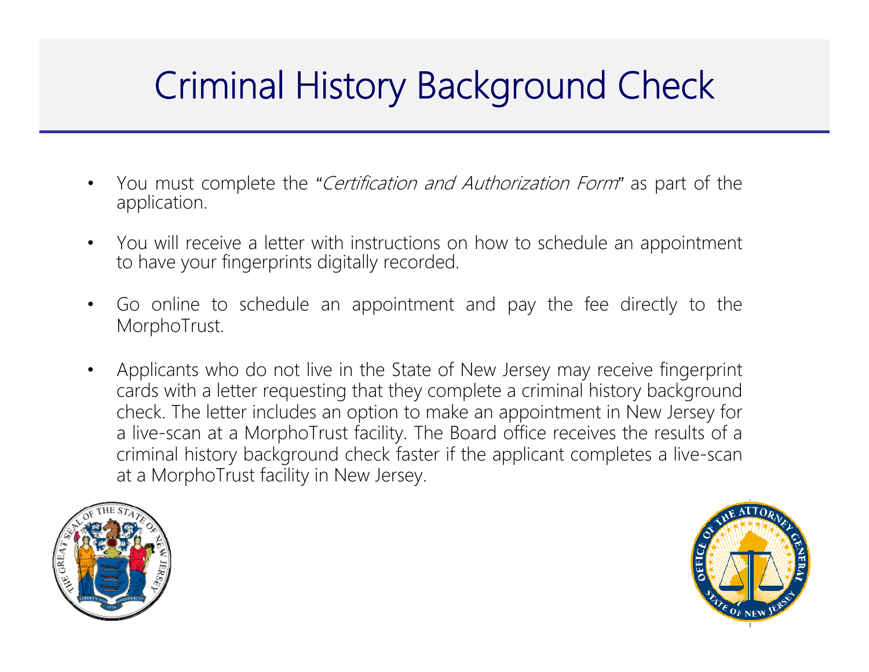## Criminal History Background Check

- $\bullet$  You must complete the *"*Certification and Authorization Form*"* as part of the application.
- $\bullet$  You will receive <sup>a</sup> letter with instructions on how to schedule an appointment to have your fingerprints digitally recorded.
- $\bullet$  Go online to schedule an appointment and pay the fee directly to the MorphoTrust.
- $\bullet$  Applicants who do not live in the State of New Jersey may receive fingerprint cards with <sup>a</sup> letter requesting that they complete <sup>a</sup> criminal history background check. The letter includes an option to make an appointment in New Jersey for <sup>a</sup> live-scan at <sup>a</sup> MorphoTrust facility. The Board office receives the results of <sup>a</sup> criminal history background check faster if the applicant completes <sup>a</sup> live-scan at <sup>a</sup> MorphoTrust facility in New Jersey.



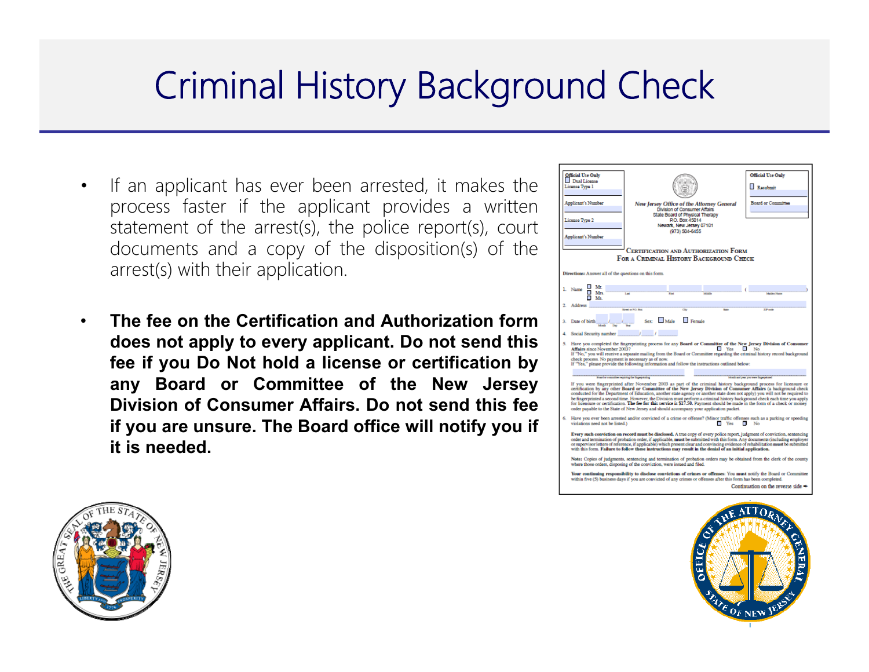### Criminal History Background Check

- • If an applicant has ever been arrested, it makes the process faster if the applicant provides <sup>a</sup> written statement of the arrest(s), the police report(s), court documents and <sup>a</sup> copy of the disposition(s) of the arrest(s) with their application.
- • **The fee on the Certification and Authorization form does not apply to every applicant. Do not send this fee if you Do Not hold <sup>a</sup> license or certification by any Board or Committee of the New Jersey Division of Consumer Affairs. Do not send this fee if you are unsure. The Board office will notify you if it is needed.**





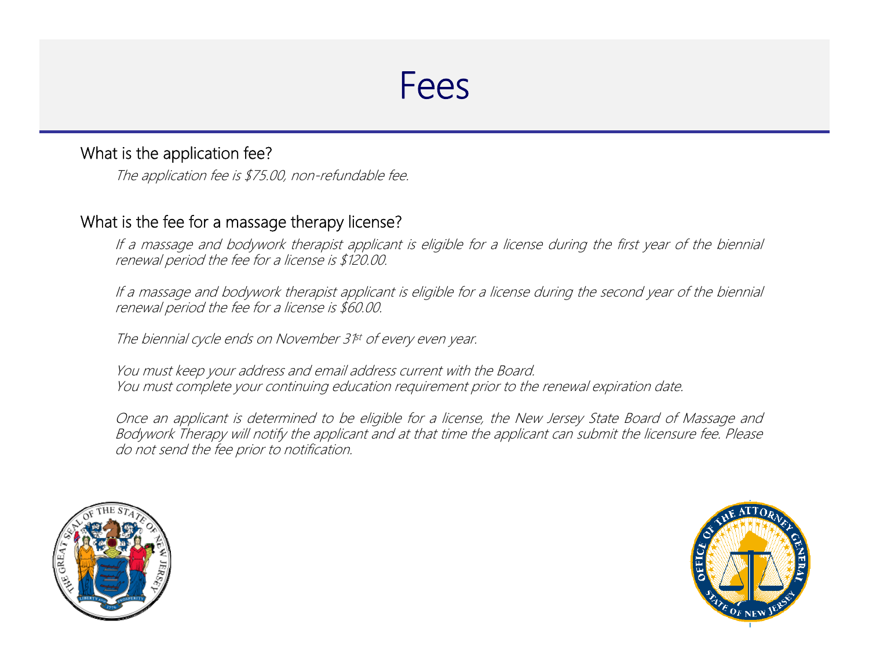#### What is the application fee?

The application fee is \$75.00, non-refundable fee.

#### What is the fee for <sup>a</sup> massage therapy license?

If <sup>a</sup> massage and bodywork therapist applicant is eligible for <sup>a</sup> license during the first year of the biennial renewal period the fee for <sup>a</sup> license is \$120.00.

If <sup>a</sup> massage and bodywork therapist applicant is eligible for <sup>a</sup> license during the second year of the biennial renewal period the fee for <sup>a</sup> license is \$60.00.

The biennial cycle ends on November 3<sup>1st</sup> of every even year.

You must keep your address and email address current with the Board. You must complete your continuing education requirement prior to the renewal expiration date.

Once an applicant is determined to be eligible for <sup>a</sup> license, the New Jersey State Board of Massage and Bodywork Therapy will notify the applicant and at that time the applicant can submit the licensure fee. Please do not send the fee prior to notification.



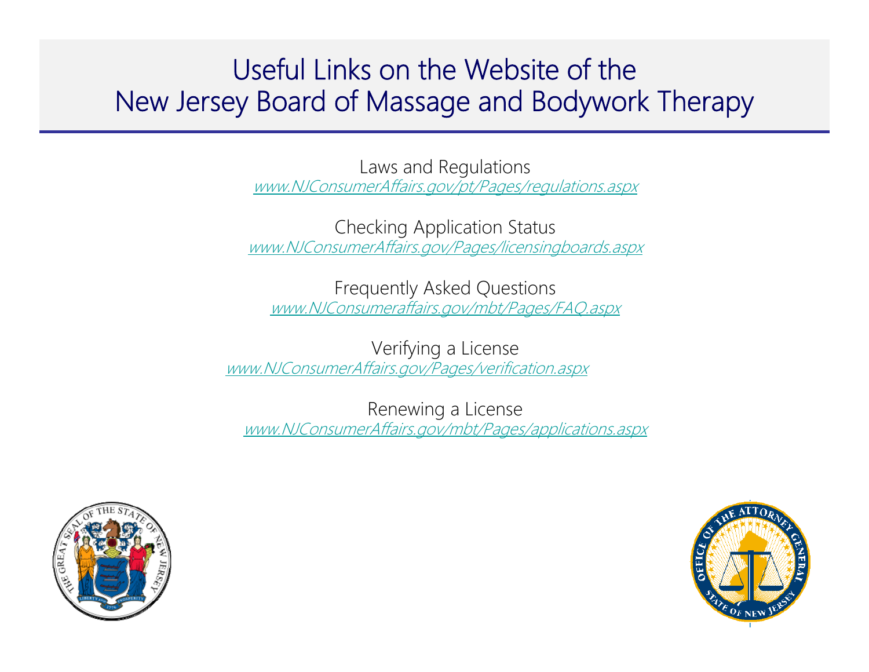### Useful Links on the Website of the New Jersey Board of Massage and Bodywork Therapy

Laws and Regulations www.NJConsumerAffairs.gov/pt/Pages/regulations.aspx

Checking Application Status www.NJConsumerAffairs.gov/Pages/licensingboards.aspx

Frequently Asked Questions www.NJConsumeraffairs.gov/mbt/Pages/FAQ.aspx

Verifying a License www.NJConsumerAffairs.gov/Pages/verification.aspx

Renewing a License www.NJConsumerAffairs.gov/mbt/Pages/applications.aspx